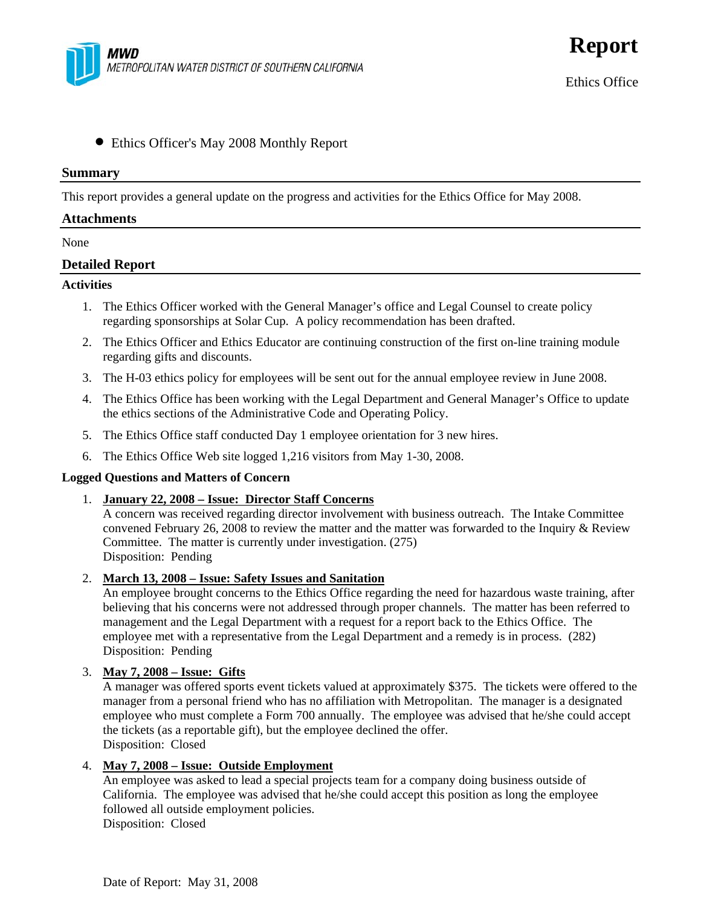

• Ethics Officer's May 2008 Monthly Report

#### **Summary**

This report provides a general update on the progress and activities for the Ethics Office for May 2008.

### **Attachments**

None

## **Detailed Report**

#### **Activities**

- 1. The Ethics Officer worked with the General Manager's office and Legal Counsel to create policy regarding sponsorships at Solar Cup. A policy recommendation has been drafted.
- 2. The Ethics Officer and Ethics Educator are continuing construction of the first on-line training module regarding gifts and discounts.
- 3. The H-03 ethics policy for employees will be sent out for the annual employee review in June 2008.
- 4. The Ethics Office has been working with the Legal Department and General Manager's Office to update the ethics sections of the Administrative Code and Operating Policy.
- 5. The Ethics Office staff conducted Day 1 employee orientation for 3 new hires.
- 6. The Ethics Office Web site logged 1,216 visitors from May 1-30, 2008.

### **Logged Questions and Matters of Concern**

1. **January 22, 2008 – Issue: Director Staff Concerns**

A concern was received regarding director involvement with business outreach. The Intake Committee convened February 26, 2008 to review the matter and the matter was forwarded to the Inquiry & Review Committee. The matter is currently under investigation. (275) Disposition: Pending

2. **March 13, 2008 – Issue: Safety Issues and Sanitation**

An employee brought concerns to the Ethics Office regarding the need for hazardous waste training, after believing that his concerns were not addressed through proper channels. The matter has been referred to management and the Legal Department with a request for a report back to the Ethics Office. The employee met with a representative from the Legal Department and a remedy is in process. (282) Disposition: Pending

### 3. **May 7, 2008 – Issue: Gifts**

A manager was offered sports event tickets valued at approximately \$375. The tickets were offered to the manager from a personal friend who has no affiliation with Metropolitan. The manager is a designated employee who must complete a Form 700 annually. The employee was advised that he/she could accept the tickets (as a reportable gift), but the employee declined the offer. Disposition: Closed

### 4. **May 7, 2008 – Issue: Outside Employment**

An employee was asked to lead a special projects team for a company doing business outside of California. The employee was advised that he/she could accept this position as long the employee followed all outside employment policies. Disposition: Closed